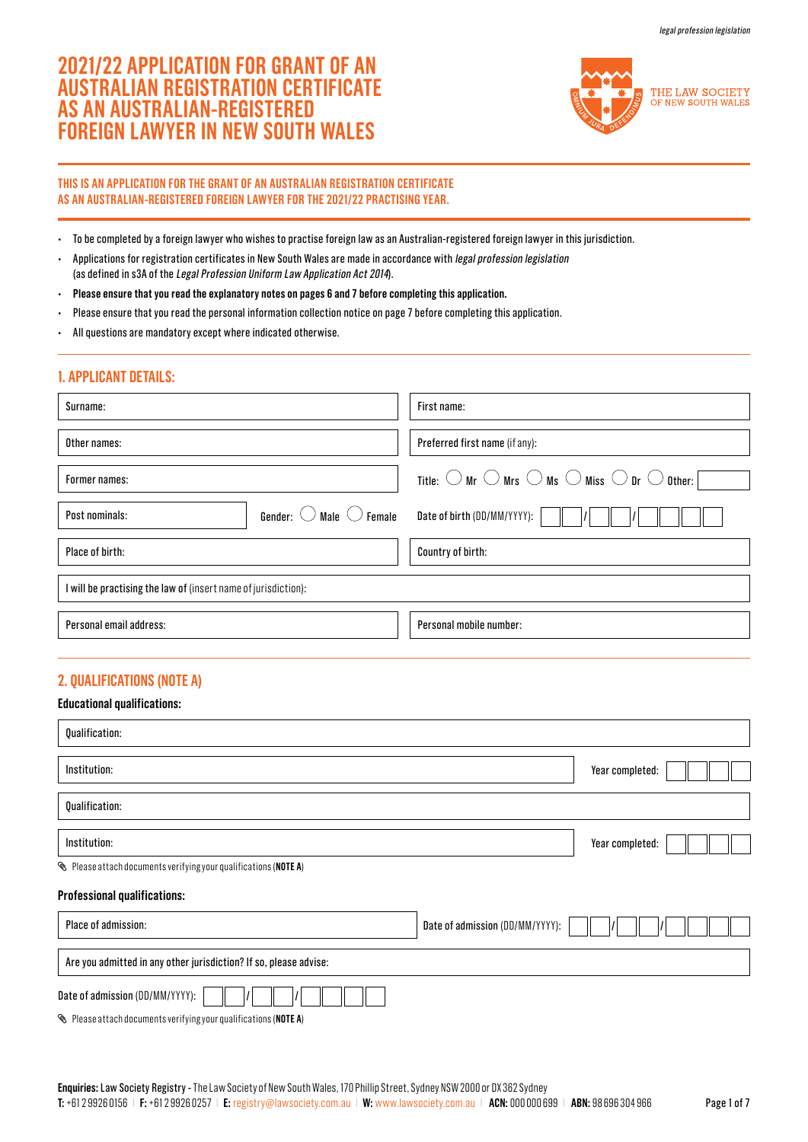# **2021/22 APPLICATION FOR GRANT OF AN AUSTRALIAN REGISTRATION CERTIFICATE AS AN AUSTRALIAN-REGISTERED FOREIGN LAWYER IN NEW SOUTH WALES**



### **THIS IS AN APPLICATION FOR THE GRANT OF AN AUSTRALIAN REGISTRATION CERTIFICATE AS AN AUSTRALIAN-REGISTERED FOREIGN LAWYER FOR THE 2021/22 PRACTISING YEAR.**

- To be completed by a foreign lawyer who wishes to practise foreign law as an Australian-registered foreign lawyer in this jurisdiction.
- Applications for registration certificates in New South Wales are made in accordance with legal profession legislation (as defined in s3A of the Legal Profession Uniform Law Application Act 2014).
- **Please ensure that you read the explanatory notes on pages 6 and 7 before completing this application.**
- Please ensure that you read the personal information collection notice on page 7 before completing this application.
- All questions are mandatory except where indicated otherwise.

## Surname: Other names: Former names: Place of birth: Post nominals: First name: Preferred first name (if any): Country of birth: I will be practising the law of (insert name of jurisdiction): Gender:  $\bigcirc$  Male  $\bigcirc$  Female Title:  $\bigcirc$  Mr  $\bigcirc$  Mrs  $\bigcirc$  Ms  $\bigcirc$  Miss  $\bigcirc$  Dr  $\bigcirc$  Other:  $\bigcirc$ Date of birth (DD/MM/YYYY): **1. APPLICANT DETAILS:** Personal email address: Personal mobile number:

## **2. QUALIFICATIONS (NOTE A)**

**Educational qualifications:**

| Luuvativiidi yudillivativiis.                                                |                                 |                 |
|------------------------------------------------------------------------------|---------------------------------|-----------------|
| Qualification:                                                               |                                 |                 |
| Institution:                                                                 |                                 | Year completed: |
| Qualification:                                                               |                                 |                 |
| Institution:                                                                 |                                 | Year completed: |
| Rease attach documents verifying your qualifications (NOTE A)                |                                 |                 |
| <b>Professional qualifications:</b>                                          |                                 |                 |
| Place of admission:                                                          | Date of admission (DD/MM/YYYY): |                 |
| Are you admitted in any other jurisdiction? If so, please advise:            |                                 |                 |
| Date of admission (DD/MM/YYYY):                                              |                                 |                 |
| $\mathcal{S}$ Please attach documents verifying your qualifications (NOTE A) |                                 |                 |

**Enquiries:** Law Society Registry - The Law Society of New South Wales, 170 Phillip Street, Sydney NSW 2000 or DX 362 Sydney **T:** +61 2 9926 0156 | **F:** +61 2 9926 0257 | **E:** [registry@lawsociety.com.au](mailto:registry%40lawsociety.com.au?subject=) | **W:** <www.lawsociety.com.au> | **ACN:** 000 000 699 | **ABN:** 98 696 304 966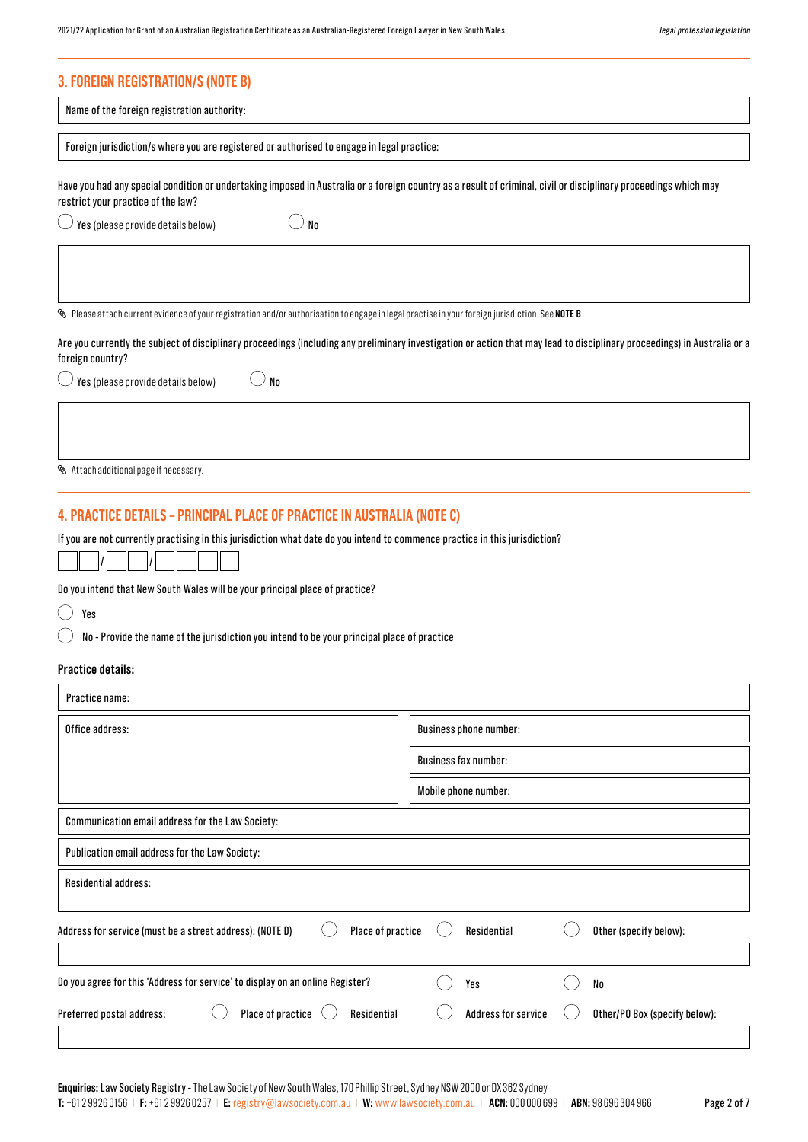## **3. FOREIGN REGISTRATION/S (NOTE B)**

| <b>3. FOREIGN REGISTRATION/S (NOTE B)</b>                                                                                                                                                              |                                                                                                                                                                           |
|--------------------------------------------------------------------------------------------------------------------------------------------------------------------------------------------------------|---------------------------------------------------------------------------------------------------------------------------------------------------------------------------|
| Name of the foreign registration authority:                                                                                                                                                            |                                                                                                                                                                           |
| Foreign jurisdiction/s where you are registered or authorised to engage in legal practice:                                                                                                             |                                                                                                                                                                           |
| Have you had any special condition or undertaking imposed in Australia or a foreign country as a result of criminal, civil or disciplinary proceedings which may<br>restrict your practice of the law? |                                                                                                                                                                           |
| No<br>Yes (please provide details below)                                                                                                                                                               |                                                                                                                                                                           |
| $\bullet$ Please attach current evidence of your registration and/or authorisation to engage in legal practise in your foreign jurisdiction. See <code>NOTEB</code>                                    |                                                                                                                                                                           |
| foreign country?                                                                                                                                                                                       | Are you currently the subject of disciplinary proceedings (including any preliminary investigation or action that may lead to disciplinary proceedings) in Australia or a |
| No<br>Yes (please provide details below)                                                                                                                                                               |                                                                                                                                                                           |
| Attach additional page if necessary.                                                                                                                                                                   |                                                                                                                                                                           |
| 4. PRACTICE DETAILS – PRINCIPAL PLACE OF PRACTICE IN AUSTRALIA (NOTE C)                                                                                                                                |                                                                                                                                                                           |
| If you are not currently practising in this jurisdiction what date do you intend to commence practice in this jurisdiction?                                                                            |                                                                                                                                                                           |
| Do you intend that New South Wales will be your principal place of practice?                                                                                                                           |                                                                                                                                                                           |
| Yes                                                                                                                                                                                                    |                                                                                                                                                                           |
| No - Provide the name of the jurisdiction you intend to be your principal place of practice                                                                                                            |                                                                                                                                                                           |
| <b>Practice details:</b>                                                                                                                                                                               |                                                                                                                                                                           |
| Practice name:                                                                                                                                                                                         |                                                                                                                                                                           |
| Office address:                                                                                                                                                                                        | <b>Business phone number:</b>                                                                                                                                             |

|                                                                               | <b>Business fax number:</b>                                 |
|-------------------------------------------------------------------------------|-------------------------------------------------------------|
|                                                                               | Mobile phone number:                                        |
| Communication email address for the Law Society:                              |                                                             |
| Publication email address for the Law Society:                                |                                                             |
| <b>Residential address:</b>                                                   |                                                             |
| Place of practice<br>Address for service (must be a street address): (NOTE D) | Other (specify below):<br>Residential                       |
|                                                                               |                                                             |
| Do you agree for this 'Address for service' to display on an online Register? | No<br>Yes                                                   |
| Place of practice<br>Preferred postal address:<br>Residential                 | <b>Address for service</b><br>Other/PO Box (specify below): |
|                                                                               |                                                             |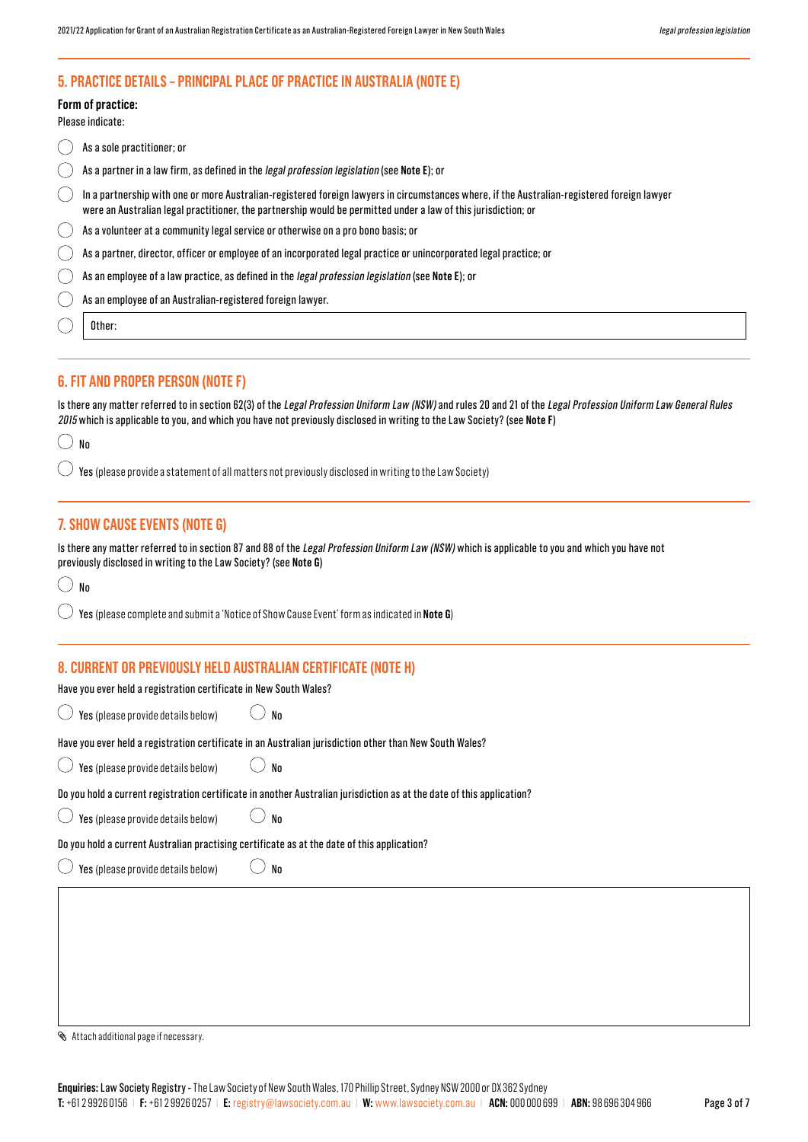## **5. PRACTICE DETAILS – PRINCIPAL PLACE OF PRACTICE IN AUSTRALIA (NOTE E)**

**Form of practice:**

Please indicate:

| As a sole practitioner; or                                                                                                                                                                                                                                    |
|---------------------------------------------------------------------------------------------------------------------------------------------------------------------------------------------------------------------------------------------------------------|
| As a partner in a law firm, as defined in the <i>legal profession legislation</i> (see Note E); or                                                                                                                                                            |
| In a partnership with one or more Australian-registered foreign lawyers in circumstances where, if the Australian-registered foreign lawyer<br>were an Australian legal practitioner, the partnership would be permitted under a law of this jurisdiction; or |
| As a volunteer at a community legal service or otherwise on a pro bono basis; or                                                                                                                                                                              |
| As a partner, director, officer or employee of an incorporated legal practice or unincorporated legal practice; or                                                                                                                                            |
| As an employee of a law practice, as defined in the legal profession legislation (see Note E); or                                                                                                                                                             |
| As an employee of an Australian-registered foreign lawyer.                                                                                                                                                                                                    |
| Other:                                                                                                                                                                                                                                                        |

## **6. FIT AND PROPER PERSON (NOTE F)**

Is there any matter referred to in section 62(3) of the Legal Profession Uniform Law (NSW) and rules 20 and 21 of the Legal Profession Uniform Law General Rules 2015 which is applicable to you, and which you have not previously disclosed in writing to the Law Society? (see **Note F**)

| ۰.<br>$\frac{1}{2}$<br>v | ×<br>M.<br>۰, |
|--------------------------|---------------|
|                          |               |

Yes (please provide a statement of all matters not previously disclosed in writing to the Law Society)

## **7. SHOW CAUSE EVENTS (NOTE G)**

Is there any matter referred to in section 87 and 88 of the Legal Profession Uniform Law (NSW) which is applicable to you and which you have not previously disclosed in writing to the Law Society? (see **Note G**)

| ٠ | ۰,<br>٠ | ×<br>٠<br>۰, |
|---|---------|--------------|

 $($ Yes (please complete and submit a 'Notice of Show Cause Event' form as indicated in **Note G**)

## **8. CURRENT OR PREVIOUSLY HELD AUSTRALIAN CERTIFICATE (NOTE H)**

## Have you ever held a registration certificate in New South Wales?

 $\bigcirc$  Yes (please provide details below)  $\bigcirc$  No

Have you ever held a registration certificate in an Australian jurisdiction other than New South Wales?

Yes (please provide details below)  $\bigcirc$  No

Do you hold a current registration certificate in another Australian jurisdiction as at the date of this application?

 $\bigcirc$  Yes (please provide details below)  $\bigcirc$  No

Do you hold a current Australian practising certificate as at the date of this application?

 $\bigcirc$  Yes (please provide details below)  $\bigcirc$  No

Attach additional page if necessary.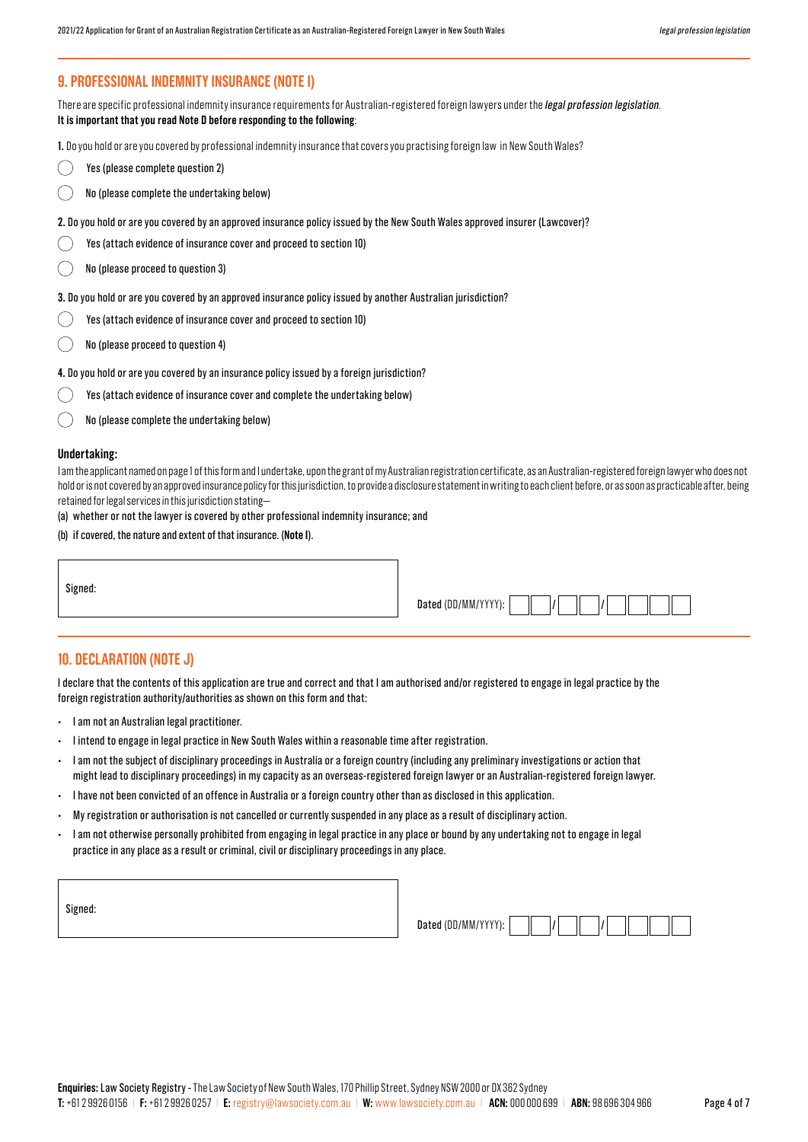## **9. PROFESSIONAL INDEMNITY INSURANCE (NOTE I)**

There are specific professional indemnity insurance requirements for Australian-registered foreign lawyers under the *legal profession legislation*. **It is important that you read Note D before responding to the following**:

**1.** Do you hold or are you covered by professional indemnity insurance that covers you practising foreign law in New South Wales?

- $\left(\begin{array}{c} \end{array}\right)$ Yes (please complete question 2)
- No (please complete the undertaking below)
- **2.** Do you hold or are you covered by an approved insurance policy issued by the New South Wales approved insurer (Lawcover)?
- Yes (attach evidence of insurance cover and proceed to section 10)
- No (please proceed to question 3)

**3.** Do you hold or are you covered by an approved insurance policy issued by another Australian jurisdiction?

- Yes (attach evidence of insurance cover and proceed to section 10)
- No (please proceed to question 4)

**4.** Do you hold or are you covered by an insurance policy issued by a foreign jurisdiction?

- Yes (attach evidence of insurance cover and complete the undertaking below)
- No (please complete the undertaking below)

#### **Undertaking:**

I am the applicant named on page 1 of this form and I undertake, upon the grant of my Australian registration certificate, as an Australian-registered foreign lawyer who does not hold or is not covered by an approved insurance policy for this jurisdiction, to provide a disclosure statement in writing to each client before, or as soon as practicable after, being retained for legal services in this jurisdiction stating—

(a) whether or not the lawyer is covered by other professional indemnity insurance; and

(b) if covered, the nature and extent of that insurance. (**Note I**).

Signed:

| Dated (DD/MM/YYYY): |  |  |
|---------------------|--|--|
|                     |  |  |

## **10. DECLARATION (NOTE J)**

I declare that the contents of this application are true and correct and that I am authorised and/or registered to engage in legal practice by the foreign registration authority/authorities as shown on this form and that:

- I am not an Australian legal practitioner.
- I intend to engage in legal practice in New South Wales within a reasonable time after registration.
- I am not the subject of disciplinary proceedings in Australia or a foreign country (including any preliminary investigations or action that might lead to disciplinary proceedings) in my capacity as an overseas-registered foreign lawyer or an Australian-registered foreign lawyer.
- I have not been convicted of an offence in Australia or a foreign country other than as disclosed in this application.
- My registration or authorisation is not cancelled or currently suspended in any place as a result of disciplinary action.
- I am not otherwise personally prohibited from engaging in legal practice in any place or bound by any undertaking not to engage in legal practice in any place as a result or criminal, civil or disciplinary proceedings in any place.

| ٠ |  |
|---|--|
|---|--|

| Dated (DD/MM/YYYY): |  |  |
|---------------------|--|--|
|                     |  |  |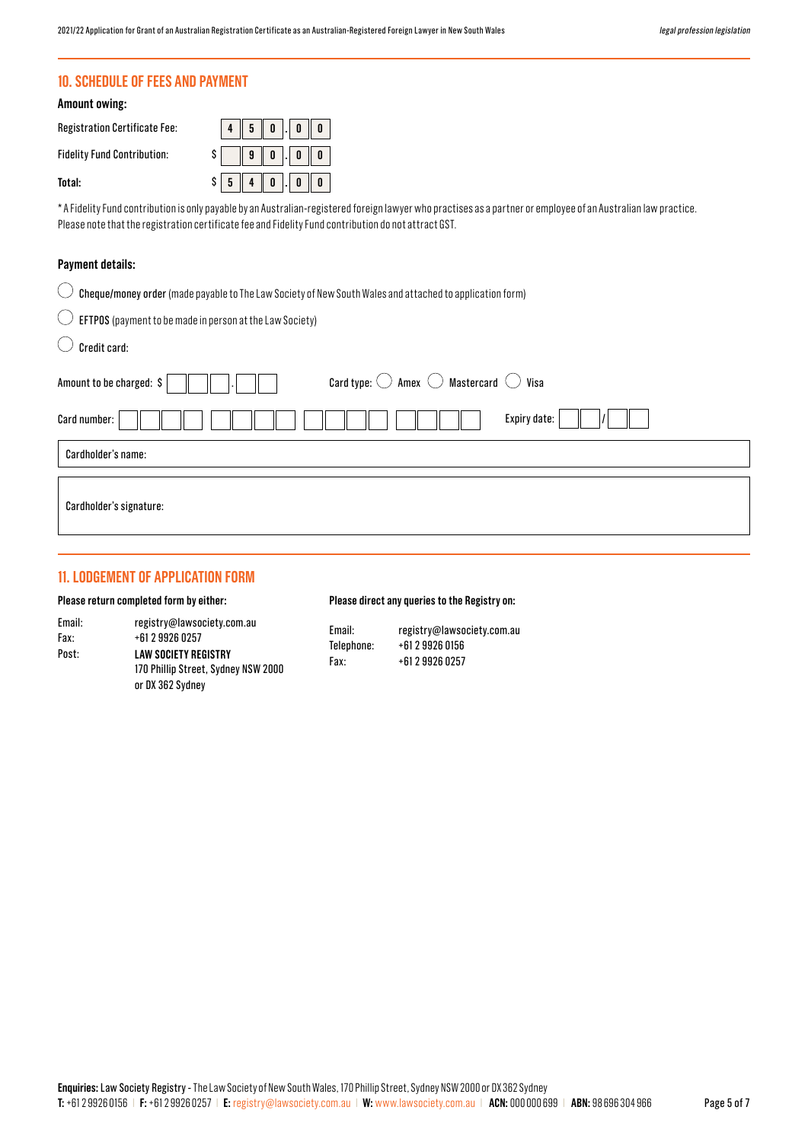## **10. SCHEDULE OF FEES AND PAYMENT**

#### **Amount owing:**

Registration **Fidelity Fund** 

**Total:** 

 $\overline{a}$ 

| Certificate Fee: | $\parallel$ 0 $\parallel$<br>$\mathbf{0}$   <br>5 |
|------------------|---------------------------------------------------|
| Contribution:    | $9 \parallel 0 \parallel$ . $0 \parallel$<br>0    |
|                  | $4 \parallel 0 \parallel$<br>$\vert 0 \vert$      |

\* A Fidelity Fund contribution is only payable by an Australian-registered foreign lawyer who practises as a partner or employee of an Australian law practice. Please note that the registration certificate fee and Fidelity Fund contribution do not attract GST.

## **Payment details:**

| $\bigcirc$ Cheque/money order (made payable to The Law Society of New South Wales and attached to application form) |
|---------------------------------------------------------------------------------------------------------------------|
|                                                                                                                     |

|  | $\cup$ EFTPOS (payment to be made in person at the Law Society) |  |
|--|-----------------------------------------------------------------|--|
|  |                                                                 |  |

| Credit card:                                                                                 |  |  |  |  |  |  |
|----------------------------------------------------------------------------------------------|--|--|--|--|--|--|
| Card type: $\bigcirc$ Amex $\bigcirc$ Mastercard $\bigcirc$ Visa<br>Amount to be charged: \$ |  |  |  |  |  |  |
| Expiry date:<br>Card number:                                                                 |  |  |  |  |  |  |
| Cardholder's name:                                                                           |  |  |  |  |  |  |
| Cardholder's signature:                                                                      |  |  |  |  |  |  |

## **11. LODGEMENT OF APPLICATION FORM**

#### **Please return completed form by either:**

Email: Fax: Post:

#### **Please direct any queries to the Registry on:**

| Email: | registry@lawsociety.com.au          | Email:<br>Telephone:<br>Fax: | registry@lawsociety.com.au<br>+61 2 9926 0156<br>+61 2 9926 0257 |
|--------|-------------------------------------|------------------------------|------------------------------------------------------------------|
| Fax:   | +61 2 9926 0257                     |                              |                                                                  |
| Post:  | LAW SOCIETY REGISTRY                |                              |                                                                  |
|        | 170 Phillip Street, Sydney NSW 2000 |                              |                                                                  |
|        | or DX 362 Sydney                    |                              |                                                                  |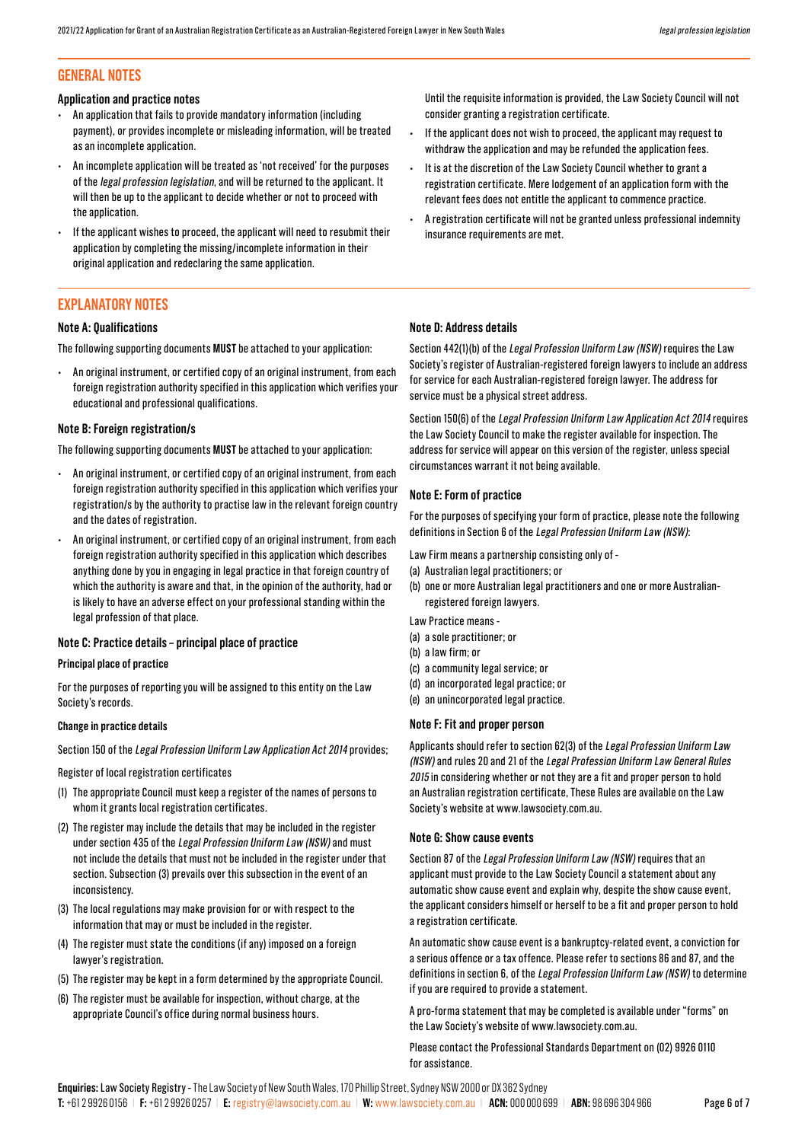## **GENERAL NOTES**

#### **Application and practice notes**

- An application that fails to provide mandatory information (including payment), or provides incomplete or misleading information, will be treated as an incomplete application.
- An incomplete application will be treated as 'not received' for the purposes of the legal profession legislation, and will be returned to the applicant. It will then be up to the applicant to decide whether or not to proceed with the annlication.
- If the applicant wishes to proceed, the applicant will need to resubmit their application by completing the missing/incomplete information in their original application and redeclaring the same application.

## **EXPLANATORY NOTES**

#### **Note A: Qualifications**

The following supporting documents **MUST** be attached to your application:

• An original instrument, or certified copy of an original instrument, from each foreign registration authority specified in this application which verifies your educational and professional qualifications.

#### **Note B: Foreign registration/s**

The following supporting documents **MUST** be attached to your application:

- An original instrument, or certified copy of an original instrument, from each foreign registration authority specified in this application which verifies your registration/s by the authority to practise law in the relevant foreign country and the dates of registration.
- An original instrument, or certified copy of an original instrument, from each foreign registration authority specified in this application which describes anything done by you in engaging in legal practice in that foreign country of which the authority is aware and that, in the opinion of the authority, had or is likely to have an adverse effect on your professional standing within the legal profession of that place.

#### **Note C: Practice details – principal place of practice**

#### **Principal place of practice**

For the purposes of reporting you will be assigned to this entity on the Law Society's records.

#### **Change in practice details**

Section 150 of the Legal Profession Uniform Law Application Act 2014 provides;

Register of local registration certificates

- (1) The appropriate Council must keep a register of the names of persons to whom it grants local registration certificates.
- (2) The register may include the details that may be included in the register under section 435 of the Legal Profession Uniform Law (NSW) and must not include the details that must not be included in the register under that section. Subsection (3) prevails over this subsection in the event of an inconsistency.
- (3) The local regulations may make provision for or with respect to the information that may or must be included in the register.
- (4) The register must state the conditions (if any) imposed on a foreign lawyer's registration.
- (5) The register may be kept in a form determined by the appropriate Council.
- (6) The register must be available for inspection, without charge, at the appropriate Council's office during normal business hours.

Until the requisite information is provided, the Law Society Council will not consider granting a registration certificate.

- If the applicant does not wish to proceed, the applicant may request to withdraw the application and may be refunded the application fees.
- It is at the discretion of the Law Society Council whether to grant a registration certificate. Mere lodgement of an application form with the relevant fees does not entitle the applicant to commence practice.
- A registration certificate will not be granted unless professional indemnity insurance requirements are met.

#### **Note D: Address details**

Section 442(1)(b) of the Legal Profession Uniform Law (NSW) requires the Law Society's register of Australian-registered foreign lawyers to include an address for service for each Australian-registered foreign lawyer. The address for service must be a physical street address.

Section 150(6) of the Legal Profession Uniform Law Application Act 2014 requires the Law Society Council to make the register available for inspection. The address for service will appear on this version of the register, unless special circumstances warrant it not being available.

#### **Note E: Form of practice**

For the purposes of specifying your form of practice, please note the following definitions in Section 6 of the Legal Profession Uniform Law (NSW):

Law Firm means a partnership consisting only of -

- (a) Australian legal practitioners; or
- (b) one or more Australian legal practitioners and one or more Australianregistered foreign lawyers.
- Law Practice means -
- (a) a sole practitioner; or
- (b) a law firm; or
- (c) a community legal service; or
- (d) an incorporated legal practice; or
- (e) an unincorporated legal practice.

#### **Note F: Fit and proper person**

Applicants should refer to section 62(3) of the Legal Profession Uniform Law (NSW) and rules 20 and 21 of the Legal Profession Uniform Law General Rules 2015 in considering whether or not they are a fit and proper person to hold an Australian registration certificate, These Rules are available on the Law Society's website at www.lawsociety.com.au.

#### **Note G: Show cause events**

Section 87 of the Legal Profession Uniform Law (NSW) requires that an applicant must provide to the Law Society Council a statement about any automatic show cause event and explain why, despite the show cause event, the applicant considers himself or herself to be a fit and proper person to hold a registration certificate.

An automatic show cause event is a bankruptcy-related event, a conviction for a serious offence or a tax offence. Please refer to sections 86 and 87, and the definitions in section 6, of the Legal Profession Uniform Law (NSW) to determine if you are required to provide a statement.

A pro-forma statement that may be completed is available under "forms" on the Law Society's website of www.lawsociety.com.au.

#### Please contact the Professional Standards Department on (02) 9926 0110 for assistance.